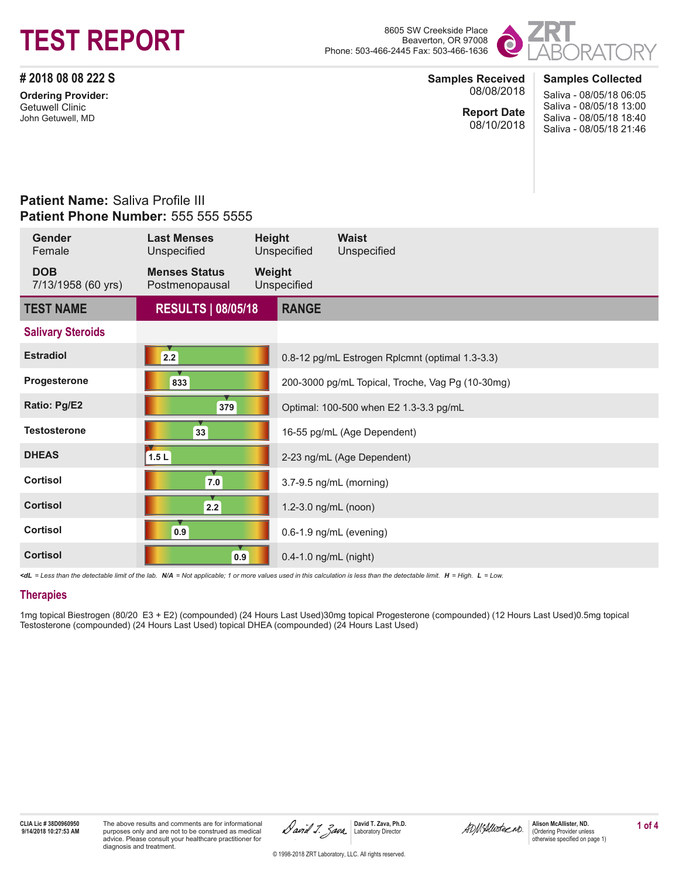# **TEST REPORT**

Beaverton, OR 97008 Phone: 503-466-2445 Fax: 503-466-1636



**# 2018 08 08 222 S**

**Ordering Provider:** Getuwell Clinic John Getuwell, MD

#### **Samples Received** 08/08/2018

**Report Date** 08/10/2018 **Samples Collected** Saliva - 08/05/18 06:05 Saliva - 08/05/18 13:00 Saliva - 08/05/18 18:40 Saliva - 08/05/18 21:46

### **Patient Name:** Saliva Profile III **Patient Phone Number:** 555 555 5555

| Gender<br>Female                 | <b>Last Menses</b><br>Unspecified      | Height | Unspecified           | <b>Waist</b><br>Unspecified                      |
|----------------------------------|----------------------------------------|--------|-----------------------|--------------------------------------------------|
| <b>DOB</b><br>7/13/1958 (60 yrs) | <b>Menses Status</b><br>Postmenopausal | Weight | Unspecified           |                                                  |
| <b>TEST NAME</b>                 | <b>RESULTS   08/05/18</b>              |        | <b>RANGE</b>          |                                                  |
| <b>Salivary Steroids</b>         |                                        |        |                       |                                                  |
| <b>Estradiol</b>                 | 2.2                                    |        |                       | 0.8-12 pg/mL Estrogen Rplcmnt (optimal 1.3-3.3)  |
| Progesterone                     | 833                                    |        |                       | 200-3000 pg/mL Topical, Troche, Vag Pg (10-30mg) |
| Ratio: Pg/E2                     | 379                                    |        |                       | Optimal: 100-500 when E2 1.3-3.3 pg/mL           |
| <b>Testosterone</b>              | 33                                     |        |                       | 16-55 pg/mL (Age Dependent)                      |
| <b>DHEAS</b>                     | 1.5 <sub>L</sub>                       |        |                       | 2-23 ng/mL (Age Dependent)                       |
| <b>Cortisol</b>                  | 7.0                                    |        |                       | 3.7-9.5 ng/mL (morning)                          |
| <b>Cortisol</b>                  | 2.2                                    |        | 1.2-3.0 ng/mL (noon)  |                                                  |
| <b>Cortisol</b>                  | 0.9                                    |        |                       | 0.6-1.9 ng/mL (evening)                          |
| <b>Cortisol</b>                  | 0.9                                    |        | 0.4-1.0 ng/mL (night) |                                                  |

*<dL = Less than the detectable limit of the lab. N/A = Not applicable; 1 or more values used in this calculation is less than the detectable limit. H = High. L = Low.*

#### **Therapies**

1mg topical Biestrogen (80/20 E3 + E2) (compounded) (24 Hours Last Used)30mg topical Progesterone (compounded) (12 Hours Last Used)0.5mg topical Testosterone (compounded) (24 Hours Last Used) topical DHEA (compounded) (24 Hours Last Used)

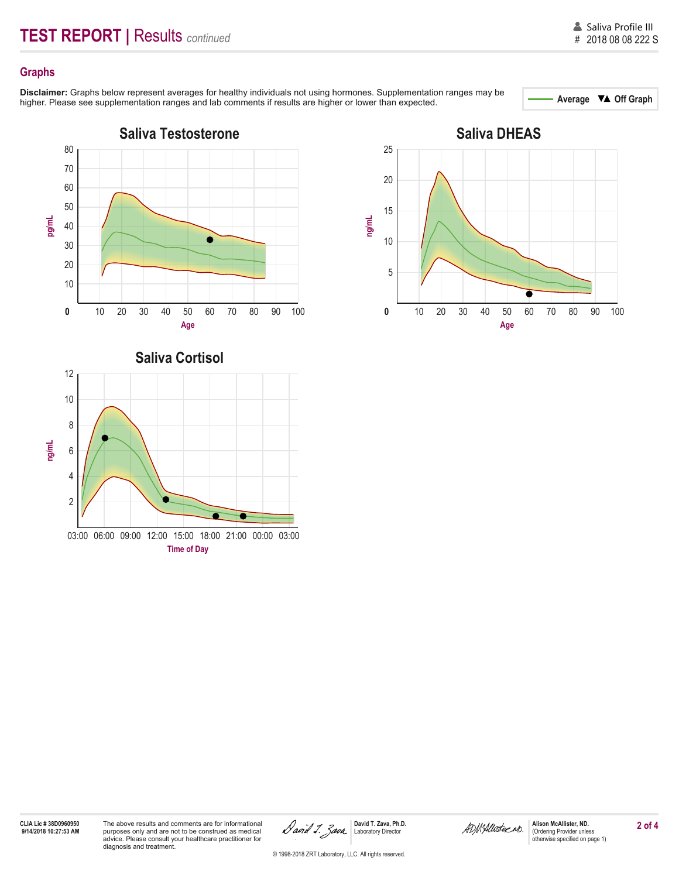#### **Graphs**

Disclaimer: Graphs below represent averages for healthy individuals not using hormones. Supplementation ranges may be<br>
bigher Please see supplementation ranges and lab comments if results are bigher or lower than expected higher. Please see supplementation ranges and lab comments if results are higher or lower than expected.



03:00 06:00 09:00 12:00 15:00 18:00 21:00 00:00 03:00 **Time of Day**



## **CLIA Lic # 38D0960950**

2

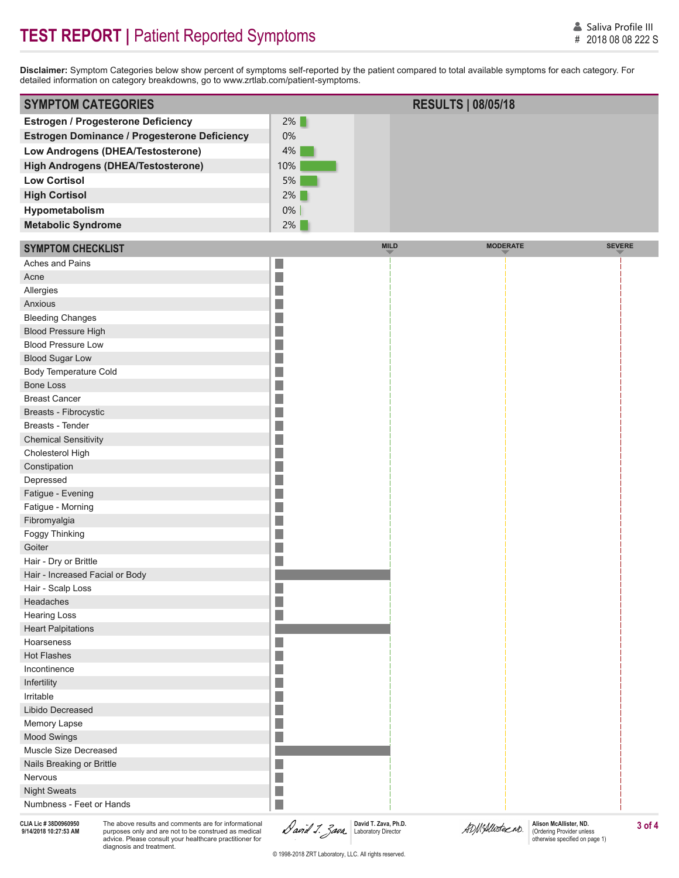**Disclaimer:** Symptom Categories below show percent of symptoms self-reported by the patient compared to total available symptoms for each category. For detailed information on category breakdowns, go to www.zrtlab.com/patient-symptoms.

| <b>SYMPTOM CATEGORIES</b>                           |        | <b>RESULTS   08/05/18</b> |  |
|-----------------------------------------------------|--------|---------------------------|--|
| <b>Estrogen / Progesterone Deficiency</b>           | $2\%$  |                           |  |
| <b>Estrogen Dominance / Progesterone Deficiency</b> | $0\%$  |                           |  |
| Low Androgens (DHEA/Testosterone)                   | $4\%$  |                           |  |
| <b>High Androgens (DHEA/Testosterone)</b>           | $10\%$ |                           |  |
| <b>Low Cortisol</b>                                 | 5%     |                           |  |
| <b>High Cortisol</b>                                | $2\%$  |                           |  |
| Hypometabolism                                      | $0\%$  |                           |  |
| <b>Metabolic Syndrome</b>                           | $2\%$  |                           |  |

| <b>SYMPTOM CHECKLIST</b>                                                                                                                          | <b>MILD</b> | <b>MODERATE</b> |
|---------------------------------------------------------------------------------------------------------------------------------------------------|-------------|-----------------|
| Aches and Pains<br>L.                                                                                                                             |             |                 |
| F<br>Acne                                                                                                                                         |             |                 |
| Allergies                                                                                                                                         |             |                 |
| i.<br>Anxious                                                                                                                                     |             |                 |
| <b>Bleeding Changes</b>                                                                                                                           |             |                 |
| <b>Blood Pressure High</b>                                                                                                                        |             |                 |
| <b>Blood Pressure Low</b><br><b>STATE OF STATE OF STATE OF STATE OF STATE OF STATE OF STATE OF STATE OF STATE OF STATE OF STATE OF STATE OF S</b> |             |                 |
| F<br><b>Blood Sugar Low</b>                                                                                                                       |             |                 |
| Body Temperature Cold<br><b>STATE OF STATE OF STATE OF STATE OF STATE OF STATE OF STATE OF STATE OF STATE OF STATE OF STATE OF STATE OF S</b>     |             |                 |
| <b>Bone Loss</b>                                                                                                                                  |             |                 |
| <b>Breast Cancer</b>                                                                                                                              |             |                 |
| Breasts - Fibrocystic<br>I.                                                                                                                       |             |                 |
| Breasts - Tender                                                                                                                                  |             |                 |
| <b>Chemical Sensitivity</b>                                                                                                                       |             |                 |
| Cholesterol High                                                                                                                                  |             |                 |
| F<br>Constipation                                                                                                                                 |             |                 |
| Depressed<br>and the state of the state of the state of the state of the state of the state of the state of the state of th                       |             |                 |
| Fatigue - Evening                                                                                                                                 |             |                 |
| Fatigue - Morning                                                                                                                                 |             |                 |
| F<br>Fibromyalgia                                                                                                                                 |             |                 |
| Foggy Thinking                                                                                                                                    |             |                 |
| Goiter                                                                                                                                            |             |                 |
| F<br>Hair - Dry or Brittle                                                                                                                        |             |                 |
| Hair - Increased Facial or Body                                                                                                                   |             |                 |
| L.<br>Hair - Scalp Loss                                                                                                                           |             |                 |
| i.<br>Headaches                                                                                                                                   |             |                 |
| <b>Hearing Loss</b><br>L.                                                                                                                         |             |                 |
| <b>Heart Palpitations</b>                                                                                                                         |             |                 |
| Hoarseness<br>i.                                                                                                                                  |             |                 |
| <b>Hot Flashes</b>                                                                                                                                |             |                 |
| Incontinence<br><b>STATE OF STATE OF STATE OF STATE OF STATE OF STATE OF STATE OF STATE OF STATE OF STATE OF STATE OF STATE OF S</b>              |             |                 |
| F<br>Infertility                                                                                                                                  |             |                 |
| Irritable                                                                                                                                         |             |                 |
| and the state of the state of the state of the state of the state of the state of the state of the state of th<br>Libido Decreased                |             |                 |
| F<br>Memory Lapse                                                                                                                                 |             |                 |
| F.<br>Mood Swings                                                                                                                                 |             |                 |
| Muscle Size Decreased                                                                                                                             |             |                 |
| Nails Breaking or Brittle                                                                                                                         |             |                 |
| Nervous                                                                                                                                           |             |                 |
| I.<br><b>Night Sweats</b>                                                                                                                         |             |                 |
| F<br>Numbness - Feet or Hands                                                                                                                     |             |                 |

**CLIA Lic # 38D0960950**

purposes only and are not to be construed as medical advice. Please consult your healthcare practitioner for diagnosis and treatment.

SLIA Lic # 38D0960950 The above results and comments are for informational **ALISON David T. Zava, Ph.D. Bavid T. Zava, Ph.D.** Alison McAllister, ND. Alison McAllister, ND. 3 of 4<br>9/14/2018 10:27:53 AM purposes only and a **David T. Zava, Ph.D.** Laboratory Director